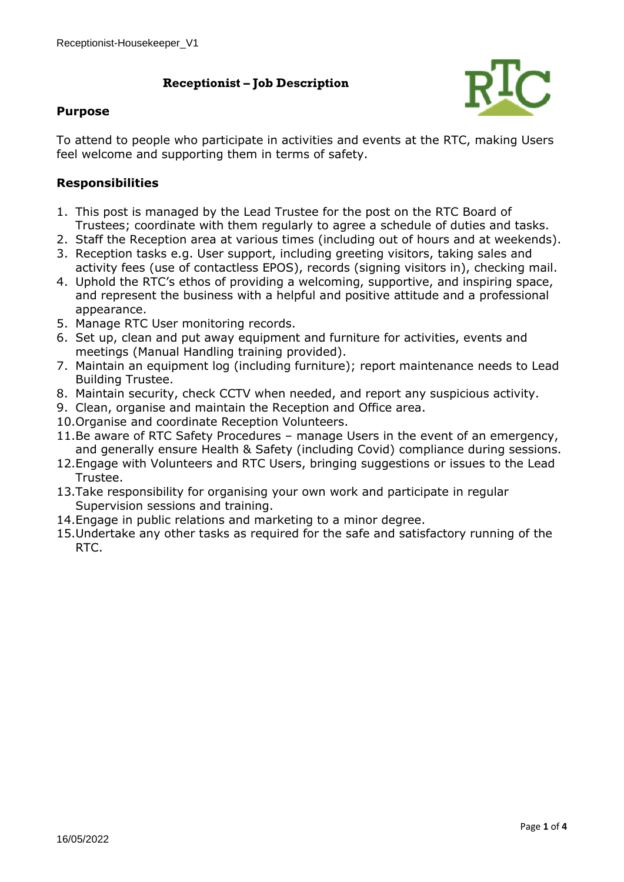### **Receptionist – Job Description**



#### **Purpose**

To attend to people who participate in activities and events at the RTC, making Users feel welcome and supporting them in terms of safety.

### **Responsibilities**

- 1. This post is managed by the Lead Trustee for the post on the RTC Board of Trustees; coordinate with them regularly to agree a schedule of duties and tasks.
- 2. Staff the Reception area at various times (including out of hours and at weekends).
- 3. Reception tasks e.g. User support, including greeting visitors, taking sales and activity fees (use of contactless EPOS), records (signing visitors in), checking mail.
- 4. Uphold the RTC's ethos of providing a welcoming, supportive, and inspiring space, and represent the business with a helpful and positive attitude and a professional appearance.
- 5. Manage RTC User monitoring records.
- 6. Set up, clean and put away equipment and furniture for activities, events and meetings (Manual Handling training provided).
- 7. Maintain an equipment log (including furniture); report maintenance needs to Lead Building Trustee.
- 8. Maintain security, check CCTV when needed, and report any suspicious activity.
- 9. Clean, organise and maintain the Reception and Office area.
- 10.Organise and coordinate Reception Volunteers.
- 11.Be aware of RTC Safety Procedures manage Users in the event of an emergency, and generally ensure Health & Safety (including Covid) compliance during sessions.
- 12.Engage with Volunteers and RTC Users, bringing suggestions or issues to the Lead Trustee.
- 13.Take responsibility for organising your own work and participate in regular Supervision sessions and training.
- 14.Engage in public relations and marketing to a minor degree.
- 15.Undertake any other tasks as required for the safe and satisfactory running of the RTC.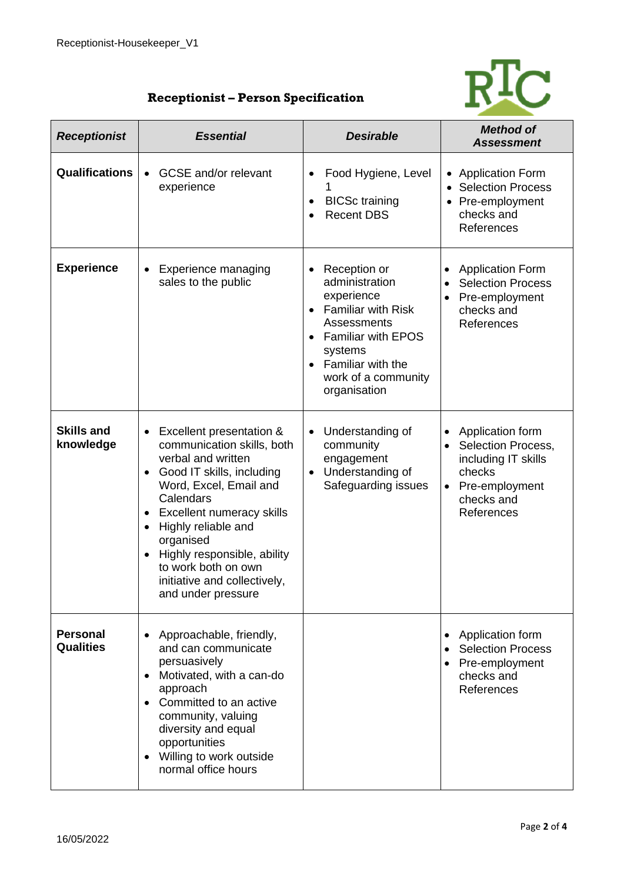

# **Receptionist – Person Specification**

|                                     |                                                                                                                                                                                                                                                                                                                                                                                                |                                                                                                                                                                                                           | <b>Method of</b>                                                                                                                   |
|-------------------------------------|------------------------------------------------------------------------------------------------------------------------------------------------------------------------------------------------------------------------------------------------------------------------------------------------------------------------------------------------------------------------------------------------|-----------------------------------------------------------------------------------------------------------------------------------------------------------------------------------------------------------|------------------------------------------------------------------------------------------------------------------------------------|
| <b>Receptionist</b>                 | <b>Essential</b>                                                                                                                                                                                                                                                                                                                                                                               | <b>Desirable</b>                                                                                                                                                                                          | <b>Assessment</b>                                                                                                                  |
| <b>Qualifications</b>               | <b>GCSE</b> and/or relevant<br>$\bullet$<br>experience                                                                                                                                                                                                                                                                                                                                         | Food Hygiene, Level<br>$\bullet$<br><b>BICSc</b> training<br>$\bullet$<br><b>Recent DBS</b>                                                                                                               | • Application Form<br><b>Selection Process</b><br>• Pre-employment<br>checks and<br>References                                     |
| <b>Experience</b>                   | <b>Experience managing</b><br>sales to the public                                                                                                                                                                                                                                                                                                                                              | Reception or<br>administration<br>experience<br><b>Familiar with Risk</b><br>Assessments<br><b>Familiar with EPOS</b><br>systems<br>Familiar with the<br>$\bullet$<br>work of a community<br>organisation | <b>Application Form</b><br><b>Selection Process</b><br>Pre-employment<br>checks and<br>References                                  |
| <b>Skills and</b><br>knowledge      | Excellent presentation &<br>$\bullet$<br>communication skills, both<br>verbal and written<br>Good IT skills, including<br>$\bullet$<br>Word, Excel, Email and<br>Calendars<br>Excellent numeracy skills<br>$\bullet$<br>Highly reliable and<br>$\bullet$<br>organised<br>Highly responsible, ability<br>$\bullet$<br>to work both on own<br>initiative and collectively,<br>and under pressure | Understanding of<br>$\bullet$<br>community<br>engagement<br>Understanding of<br>$\bullet$<br>Safeguarding issues                                                                                          | Application form<br>Selection Process,<br>including IT skills<br>checks<br>Pre-employment<br>$\bullet$<br>checks and<br>References |
| <b>Personal</b><br><b>Qualities</b> | Approachable, friendly,<br>and can communicate<br>persuasively<br>• Motivated, with a can-do<br>approach<br>Committed to an active<br>community, valuing<br>diversity and equal<br>opportunities<br>Willing to work outside<br>$\bullet$<br>normal office hours                                                                                                                                |                                                                                                                                                                                                           | Application form<br><b>Selection Process</b><br>Pre-employment<br>checks and<br>References                                         |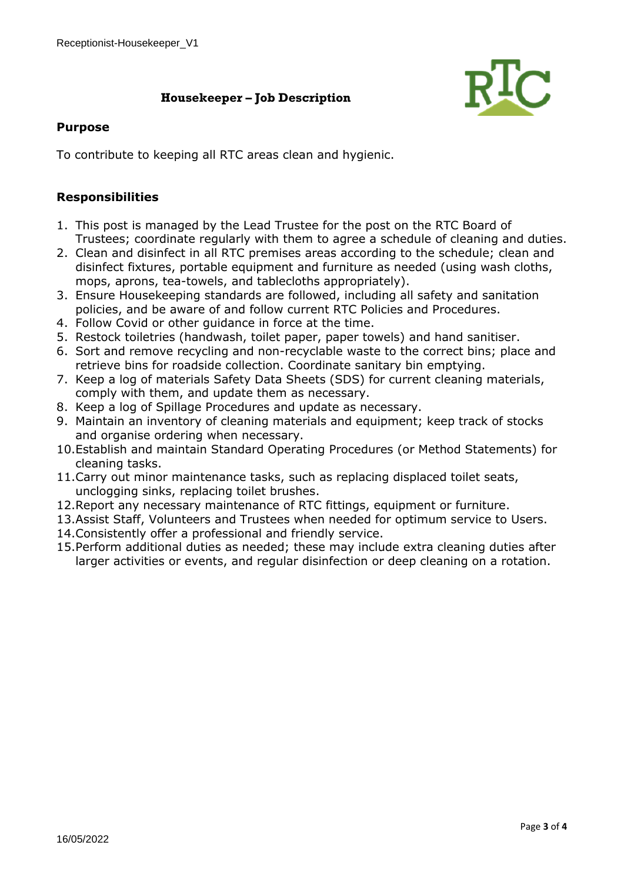## **Housekeeper – Job Description**



#### **Purpose**

To contribute to keeping all RTC areas clean and hygienic.

#### **Responsibilities**

- 1. This post is managed by the Lead Trustee for the post on the RTC Board of Trustees; coordinate regularly with them to agree a schedule of cleaning and duties.
- 2. Clean and disinfect in all RTC premises areas according to the schedule; clean and disinfect fixtures, portable equipment and furniture as needed (using wash cloths, mops, aprons, tea-towels, and tablecloths appropriately).
- 3. Ensure Housekeeping standards are followed, including all safety and sanitation policies, and be aware of and follow current RTC Policies and Procedures.
- 4. Follow Covid or other guidance in force at the time.
- 5. Restock toiletries (handwash, toilet paper, paper towels) and hand sanitiser.
- 6. Sort and remove recycling and non-recyclable waste to the correct bins; place and retrieve bins for roadside collection. Coordinate sanitary bin emptying.
- 7. Keep a log of materials Safety Data Sheets (SDS) for current cleaning materials, comply with them, and update them as necessary.
- 8. Keep a log of Spillage Procedures and update as necessary.
- 9. Maintain an inventory of cleaning materials and equipment; keep track of stocks and organise ordering when necessary.
- 10.Establish and maintain Standard Operating Procedures (or Method Statements) for cleaning tasks.
- 11.Carry out minor maintenance tasks, such as replacing displaced toilet seats, unclogging sinks, replacing toilet brushes.
- 12.Report any necessary maintenance of RTC fittings, equipment or furniture.
- 13.Assist Staff, Volunteers and Trustees when needed for optimum service to Users.
- 14.Consistently offer a professional and friendly service.
- 15.Perform additional duties as needed; these may include extra cleaning duties after larger activities or events, and regular disinfection or deep cleaning on a rotation.